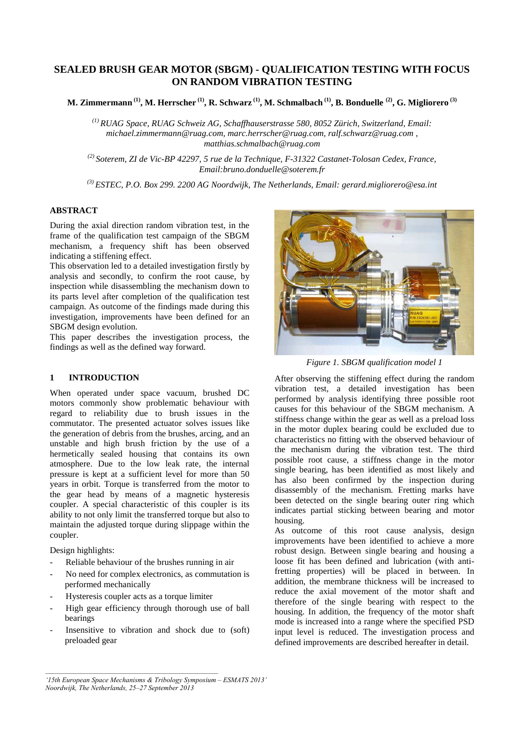# **SEALED BRUSH GEAR MOTOR (SBGM) - QUALIFICATION TESTING WITH FOCUS ON RANDOM VIBRATION TESTING**

**M. Zimmermann (1), M. Herrscher (1), R. Schwarz (1), M. Schmalbach (1), B. Bonduelle (2), G. Migliorero (3)**

*(1) RUAG Space, RUAG Schweiz AG, Schaffhauserstrasse 580, 8052 Zürich, Switzerland, Email: michael.zimmermann@ruag.com, marc.herrscher@ruag.com, ralf.schwarz@ruag.com , matthias.schmalbach@ruag.com* 

*(2) Soterem, ZI de Vic-BP 42297, 5 rue de la Technique, F-31322 Castanet-Tolosan Cedex, France, Email:bruno.donduelle@soterem.fr* 

*(3) ESTEC, P.O. Box 299. 2200 AG Noordwijk, The Netherlands, Email: gerard.migliorero@esa.int* 

### **ABSTRACT**

During the axial direction random vibration test, in the frame of the qualification test campaign of the SBGM mechanism, a frequency shift has been observed indicating a stiffening effect.

This observation led to a detailed investigation firstly by analysis and secondly, to confirm the root cause, by inspection while disassembling the mechanism down to its parts level after completion of the qualification test campaign. As outcome of the findings made during this investigation, improvements have been defined for an SBGM design evolution.

This paper describes the investigation process, the findings as well as the defined way forward.

### **1 INTRODUCTION**

When operated under space vacuum, brushed DC motors commonly show problematic behaviour with regard to reliability due to brush issues in the commutator. The presented actuator solves issues like the generation of debris from the brushes, arcing, and an unstable and high brush friction by the use of a hermetically sealed housing that contains its own atmosphere. Due to the low leak rate, the internal pressure is kept at a sufficient level for more than 50 years in orbit. Torque is transferred from the motor to the gear head by means of a magnetic hysteresis coupler. A special characteristic of this coupler is its ability to not only limit the transferred torque but also to maintain the adjusted torque during slippage within the coupler.

Design highlights:

- Reliable behaviour of the brushes running in air
- No need for complex electronics, as commutation is performed mechanically
- Hysteresis coupler acts as a torque limiter
- High gear efficiency through thorough use of ball bearings
- Insensitive to vibration and shock due to (soft) preloaded gear



*Figure 1. SBGM qualification model 1* 

After observing the stiffening effect during the random vibration test, a detailed investigation has been performed by analysis identifying three possible root causes for this behaviour of the SBGM mechanism. A stiffness change within the gear as well as a preload loss in the motor duplex bearing could be excluded due to characteristics no fitting with the observed behaviour of the mechanism during the vibration test. The third possible root cause, a stiffness change in the motor single bearing, has been identified as most likely and has also been confirmed by the inspection during disassembly of the mechanism. Fretting marks have been detected on the single bearing outer ring which indicates partial sticking between bearing and motor housing.

As outcome of this root cause analysis, design improvements have been identified to achieve a more robust design. Between single bearing and housing a loose fit has been defined and lubrication (with antifretting properties) will be placed in between. In addition, the membrane thickness will be increased to reduce the axial movement of the motor shaft and therefore of the single bearing with respect to the housing. In addition, the frequency of the motor shaft mode is increased into a range where the specified PSD input level is reduced. The investigation process and defined improvements are described hereafter in detail.

*<sup>&#</sup>x27;15th European Space Mechanisms & Tribology Symposium – ESMATS 2013' Noordwijk, The Netherlands, 25–27 September 2013*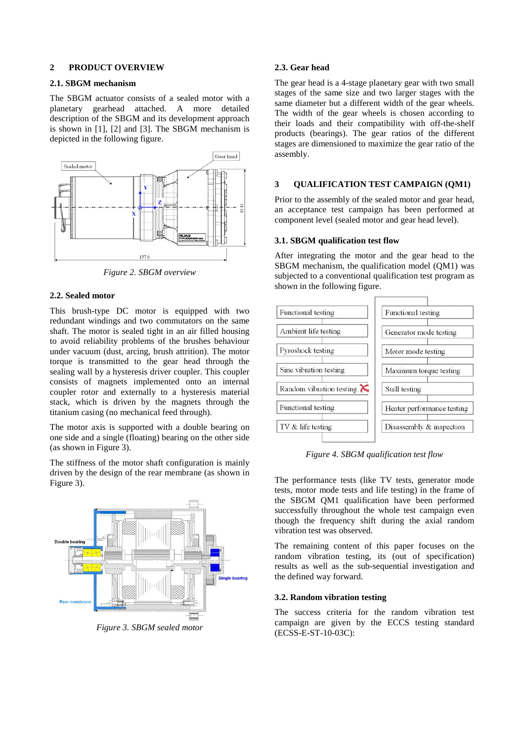#### **2 PRODUCT OVERVIEW**

#### **2.1. SBGM mechanism**

The SBGM actuator consists of a sealed motor with a planetary gearhead attached. A more detailed description of the SBGM and its development approach is shown in [1], [2] and [3]. The SBGM mechanism is depicted in the following figure.



*Figure 2. SBGM overview* 

#### **2.2. Sealed motor**

This brush-type DC motor is equipped with two redundant windings and two commutators on the same shaft. The motor is sealed tight in an air filled housing to avoid reliability problems of the brushes behaviour under vacuum (dust, arcing, brush attrition). The motor torque is transmitted to the gear head through the sealing wall by a hysteresis driver coupler. This coupler consists of magnets implemented onto an internal coupler rotor and externally to a hysteresis material stack, which is driven by the magnets through the titanium casing (no mechanical feed through).

The motor axis is supported with a double bearing on one side and a single (floating) bearing on the other side (as shown in Figure 3).

The stiffness of the motor shaft configuration is mainly driven by the design of the rear membrane (as shown in Figure 3).



*Figure 3. SBGM sealed motor* 

#### **2.3. Gear head**

The gear head is a 4-stage planetary gear with two small stages of the same size and two larger stages with the same diameter but a different width of the gear wheels. The width of the gear wheels is chosen according to their loads and their compatibility with off-the-shelf products (bearings). The gear ratios of the different stages are dimensioned to maximize the gear ratio of the assembly.

### **3 QUALIFICATION TEST CAMPAIGN (QM1)**

Prior to the assembly of the sealed motor and gear head, an acceptance test campaign has been performed at component level (sealed motor and gear head level).

### **3.1. SBGM qualification test flow**

After integrating the motor and the gear head to the SBGM mechanism, the qualification model (QM1) was subjected to a conventional qualification test program as shown in the following figure.



*Figure 4. SBGM qualification test flow* 

The performance tests (like TV tests, generator mode tests, motor mode tests and life testing) in the frame of the SBGM QM1 qualification have been performed successfully throughout the whole test campaign even though the frequency shift during the axial random vibration test was observed.

The remaining content of this paper focuses on the random vibration testing, its (out of specification) results as well as the sub-sequential investigation and the defined way forward.

#### **3.2. Random vibration testing**

The success criteria for the random vibration test campaign are given by the ECCS testing standard (ECSS-E-ST-10-03C):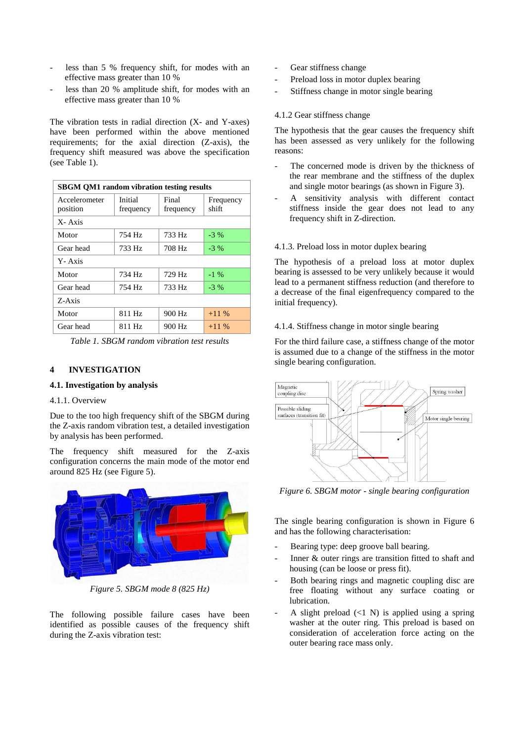- less than 5 % frequency shift, for modes with an effective mass greater than 10 %
- less than 20 % amplitude shift, for modes with an effective mass greater than 10 %

The vibration tests in radial direction (X- and Y-axes) have been performed within the above mentioned requirements; for the axial direction (Z-axis), the frequency shift measured was above the specification (see Table 1).

| <b>SBGM QM1 random vibration testing results</b> |                      |                    |                    |
|--------------------------------------------------|----------------------|--------------------|--------------------|
| Accelerometer<br>position                        | Initial<br>frequency | Final<br>frequency | Frequency<br>shift |
| X-Axis                                           |                      |                    |                    |
| Motor                                            | 754 Hz               | 733 Hz             | $-3\%$             |
| Gear head                                        | 733 Hz               | 708 Hz             | $-3\%$             |
| Y-Axis                                           |                      |                    |                    |
| Motor                                            | 734 Hz               | 729 Hz             | $-1\%$             |
| Gear head                                        | 754 Hz               | 733 Hz             | $-3\%$             |
| Z-Axis                                           |                      |                    |                    |
| Motor                                            | 811 Hz               | 900 Hz             | $+11\%$            |
| Gear head                                        | 811 Hz               | 900 Hz             | $+11\%$            |

*Table 1. SBGM random vibration test results* 

## **4 INVESTIGATION**

#### **4.1. Investigation by analysis**

#### 4.1.1. Overview

Due to the too high frequency shift of the SBGM during the Z-axis random vibration test, a detailed investigation by analysis has been performed.

The frequency shift measured for the Z-axis configuration concerns the main mode of the motor end around 825 Hz (see Figure 5).



*Figure 5. SBGM mode 8 (825 Hz)* 

The following possible failure cases have been identified as possible causes of the frequency shift during the Z-axis vibration test:

- Gear stiffness change
- Preload loss in motor duplex bearing
- Stiffness change in motor single bearing

### 4.1.2 Gear stiffness change

The hypothesis that the gear causes the frequency shift has been assessed as very unlikely for the following reasons:

- The concerned mode is driven by the thickness of the rear membrane and the stiffness of the duplex and single motor bearings (as shown in Figure 3).
- A sensitivity analysis with different contact stiffness inside the gear does not lead to any frequency shift in Z-direction.

#### 4.1.3. Preload loss in motor duplex bearing

The hypothesis of a preload loss at motor duplex bearing is assessed to be very unlikely because it would lead to a permanent stiffness reduction (and therefore to a decrease of the final eigenfrequency compared to the initial frequency).

### 4.1.4. Stiffness change in motor single bearing

For the third failure case, a stiffness change of the motor is assumed due to a change of the stiffness in the motor single bearing configuration.



*Figure 6. SBGM motor - single bearing configuration* 

The single bearing configuration is shown in Figure 6 and has the following characterisation:

- Bearing type: deep groove ball bearing.
- Inner & outer rings are transition fitted to shaft and housing (can be loose or press fit).
- Both bearing rings and magnetic coupling disc are free floating without any surface coating or lubrication.
- A slight preload  $(\leq 1 \text{ N})$  is applied using a spring washer at the outer ring. This preload is based on consideration of acceleration force acting on the outer bearing race mass only.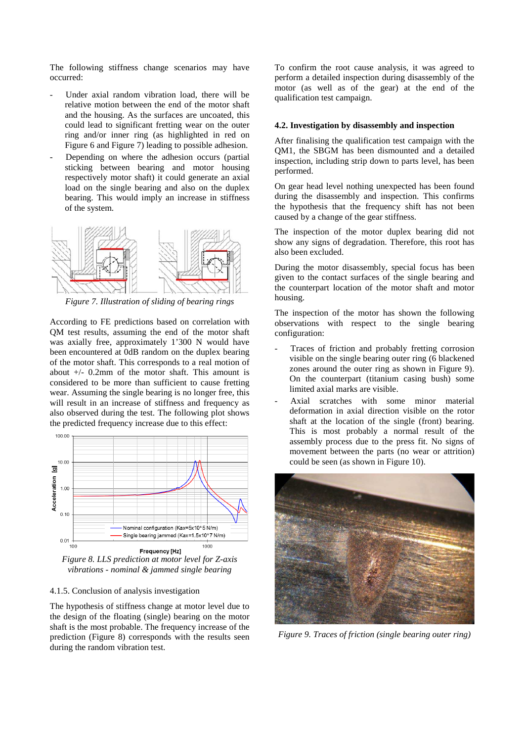The following stiffness change scenarios may have occurred:

- Under axial random vibration load, there will be relative motion between the end of the motor shaft and the housing. As the surfaces are uncoated, this could lead to significant fretting wear on the outer ring and/or inner ring (as highlighted in red on Figure 6 and Figure 7) leading to possible adhesion.
- Depending on where the adhesion occurs (partial sticking between bearing and motor housing respectively motor shaft) it could generate an axial load on the single bearing and also on the duplex bearing. This would imply an increase in stiffness of the system.



*Figure 7. Illustration of sliding of bearing rings* 

According to FE predictions based on correlation with QM test results, assuming the end of the motor shaft was axially free, approximately 1'300 N would have been encountered at 0dB random on the duplex bearing of the motor shaft. This corresponds to a real motion of about +/- 0.2mm of the motor shaft. This amount is considered to be more than sufficient to cause fretting wear. Assuming the single bearing is no longer free, this will result in an increase of stiffness and frequency as also observed during the test. The following plot shows the predicted frequency increase due to this effect:



*Figure 8. LLS prediction at motor level for Z-axis vibrations - nominal & jammed single bearing* 

#### 4.1.5. Conclusion of analysis investigation

The hypothesis of stiffness change at motor level due to the design of the floating (single) bearing on the motor shaft is the most probable. The frequency increase of the prediction (Figure 8) corresponds with the results seen during the random vibration test.

To confirm the root cause analysis, it was agreed to perform a detailed inspection during disassembly of the motor (as well as of the gear) at the end of the qualification test campaign.

# **4.2. Investigation by disassembly and inspection**

After finalising the qualification test campaign with the QM1, the SBGM has been dismounted and a detailed inspection, including strip down to parts level, has been performed.

On gear head level nothing unexpected has been found during the disassembly and inspection. This confirms the hypothesis that the frequency shift has not been caused by a change of the gear stiffness.

The inspection of the motor duplex bearing did not show any signs of degradation. Therefore, this root has also been excluded.

During the motor disassembly, special focus has been given to the contact surfaces of the single bearing and the counterpart location of the motor shaft and motor housing.

The inspection of the motor has shown the following observations with respect to the single bearing configuration:

- Traces of friction and probably fretting corrosion visible on the single bearing outer ring (6 blackened zones around the outer ring as shown in Figure 9). On the counterpart (titanium casing bush) some limited axial marks are visible.
- Axial scratches with some minor material deformation in axial direction visible on the rotor shaft at the location of the single (front) bearing. This is most probably a normal result of the assembly process due to the press fit. No signs of movement between the parts (no wear or attrition) could be seen (as shown in Figure 10).



*Figure 9. Traces of friction (single bearing outer ring)*